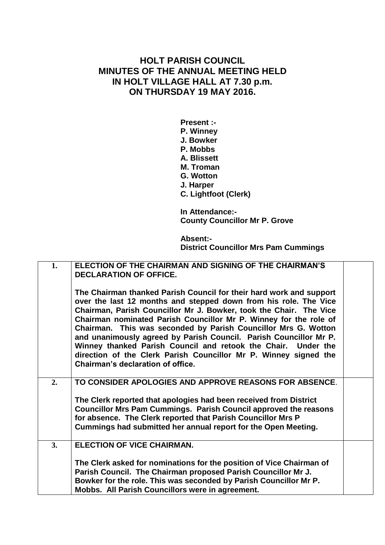## **HOLT PARISH COUNCIL MINUTES OF THE ANNUAL MEETING HELD IN HOLT VILLAGE HALL AT 7.30 p.m. ON THURSDAY 19 MAY 2016.**

**Present :- P. Winney J. Bowker P. Mobbs A. Blissett M. Troman G. Wotton J. Harper C. Lightfoot (Clerk)**

**In Attendance:- County Councillor Mr P. Grove**

**Absent:- District Councillor Mrs Pam Cummings**

| 1. | <b>ELECTION OF THE CHAIRMAN AND SIGNING OF THE CHAIRMAN'S</b><br><b>DECLARATION OF OFFICE.</b><br>The Chairman thanked Parish Council for their hard work and support<br>over the last 12 months and stepped down from his role. The Vice<br>Chairman, Parish Councillor Mr J. Bowker, took the Chair. The Vice<br>Chairman nominated Parish Councillor Mr P. Winney for the role of<br>Chairman. This was seconded by Parish Councillor Mrs G. Wotton<br>and unanimously agreed by Parish Council. Parish Councillor Mr P.<br>Winney thanked Parish Council and retook the Chair. Under the<br>direction of the Clerk Parish Councillor Mr P. Winney signed the<br>Chairman's declaration of office. |  |
|----|-------------------------------------------------------------------------------------------------------------------------------------------------------------------------------------------------------------------------------------------------------------------------------------------------------------------------------------------------------------------------------------------------------------------------------------------------------------------------------------------------------------------------------------------------------------------------------------------------------------------------------------------------------------------------------------------------------|--|
| 2. | TO CONSIDER APOLOGIES AND APPROVE REASONS FOR ABSENCE.<br>The Clerk reported that apologies had been received from District<br>Councillor Mrs Pam Cummings. Parish Council approved the reasons<br>for absence. The Clerk reported that Parish Councillor Mrs P<br>Cummings had submitted her annual report for the Open Meeting.                                                                                                                                                                                                                                                                                                                                                                     |  |
| 3. | <b>ELECTION OF VICE CHAIRMAN.</b><br>The Clerk asked for nominations for the position of Vice Chairman of<br>Parish Council. The Chairman proposed Parish Councillor Mr J.<br>Bowker for the role. This was seconded by Parish Councillor Mr P.<br>Mobbs. All Parish Councillors were in agreement.                                                                                                                                                                                                                                                                                                                                                                                                   |  |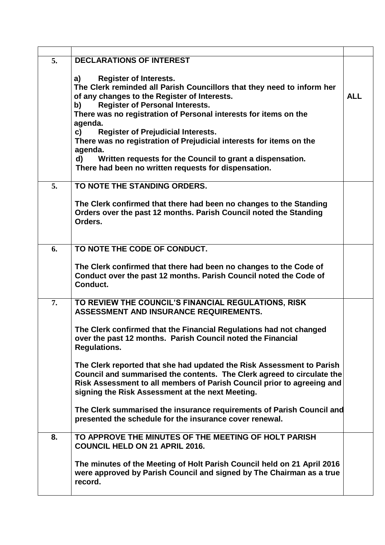| 5. | <b>DECLARATIONS OF INTEREST</b>                                                                                                                                                                                                                                                                                                                                                                                                                                                                                                                              |            |
|----|--------------------------------------------------------------------------------------------------------------------------------------------------------------------------------------------------------------------------------------------------------------------------------------------------------------------------------------------------------------------------------------------------------------------------------------------------------------------------------------------------------------------------------------------------------------|------------|
|    | <b>Register of Interests.</b><br>a)<br>The Clerk reminded all Parish Councillors that they need to inform her<br>of any changes to the Register of Interests.<br><b>Register of Personal Interests.</b><br>b)<br>There was no registration of Personal interests for items on the<br>agenda.<br><b>Register of Prejudicial Interests.</b><br>c)<br>There was no registration of Prejudicial interests for items on the<br>agenda.<br>Written requests for the Council to grant a dispensation.<br>d)<br>There had been no written requests for dispensation. | <b>ALL</b> |
| 5. | TO NOTE THE STANDING ORDERS.                                                                                                                                                                                                                                                                                                                                                                                                                                                                                                                                 |            |
|    | The Clerk confirmed that there had been no changes to the Standing<br>Orders over the past 12 months. Parish Council noted the Standing<br>Orders.                                                                                                                                                                                                                                                                                                                                                                                                           |            |
| 6. | TO NOTE THE CODE OF CONDUCT.                                                                                                                                                                                                                                                                                                                                                                                                                                                                                                                                 |            |
|    | The Clerk confirmed that there had been no changes to the Code of<br>Conduct over the past 12 months. Parish Council noted the Code of<br>Conduct.                                                                                                                                                                                                                                                                                                                                                                                                           |            |
| 7. | TO REVIEW THE COUNCIL'S FINANCIAL REGULATIONS, RISK<br>ASSESSMENT AND INSURANCE REQUIREMENTS.                                                                                                                                                                                                                                                                                                                                                                                                                                                                |            |
|    | The Clerk confirmed that the Financial Regulations had not changed<br>over the past 12 months. Parish Council noted the Financial<br><b>Regulations.</b>                                                                                                                                                                                                                                                                                                                                                                                                     |            |
|    | The Clerk reported that she had updated the Risk Assessment to Parish<br>Council and summarised the contents. The Clerk agreed to circulate the<br>Risk Assessment to all members of Parish Council prior to agreeing and<br>signing the Risk Assessment at the next Meeting.                                                                                                                                                                                                                                                                                |            |
|    | The Clerk summarised the insurance requirements of Parish Council and<br>presented the schedule for the insurance cover renewal.                                                                                                                                                                                                                                                                                                                                                                                                                             |            |
| 8. | TO APPROVE THE MINUTES OF THE MEETING OF HOLT PARISH<br><b>COUNCIL HELD ON 21 APRIL 2016.</b>                                                                                                                                                                                                                                                                                                                                                                                                                                                                |            |
|    | The minutes of the Meeting of Holt Parish Council held on 21 April 2016<br>were approved by Parish Council and signed by The Chairman as a true<br>record.                                                                                                                                                                                                                                                                                                                                                                                                   |            |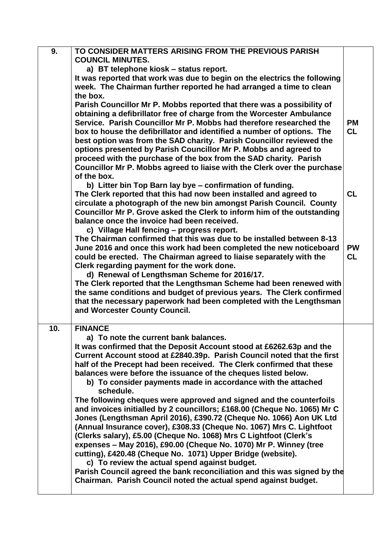| 9.  | TO CONSIDER MATTERS ARISING FROM THE PREVIOUS PARISH<br><b>COUNCIL MINUTES.</b>                                                                                                                                                                                                                                                                                                                                                                                                                                                                                                               |                        |
|-----|-----------------------------------------------------------------------------------------------------------------------------------------------------------------------------------------------------------------------------------------------------------------------------------------------------------------------------------------------------------------------------------------------------------------------------------------------------------------------------------------------------------------------------------------------------------------------------------------------|------------------------|
|     | a) BT telephone kiosk - status report.                                                                                                                                                                                                                                                                                                                                                                                                                                                                                                                                                        |                        |
|     | It was reported that work was due to begin on the electrics the following                                                                                                                                                                                                                                                                                                                                                                                                                                                                                                                     |                        |
|     | week. The Chairman further reported he had arranged a time to clean                                                                                                                                                                                                                                                                                                                                                                                                                                                                                                                           |                        |
|     | the box.                                                                                                                                                                                                                                                                                                                                                                                                                                                                                                                                                                                      |                        |
|     | Parish Councillor Mr P. Mobbs reported that there was a possibility of<br>obtaining a defibrillator free of charge from the Worcester Ambulance<br>Service. Parish Councillor Mr P. Mobbs had therefore researched the<br>box to house the defibrillator and identified a number of options. The<br>best option was from the SAD charity. Parish Councillor reviewed the<br>options presented by Parish Councillor Mr P. Mobbs and agreed to<br>proceed with the purchase of the box from the SAD charity. Parish<br>Councillor Mr P. Mobbs agreed to liaise with the Clerk over the purchase | <b>PM</b><br><b>CL</b> |
|     | of the box.                                                                                                                                                                                                                                                                                                                                                                                                                                                                                                                                                                                   |                        |
|     | b) Litter bin Top Barn lay bye - confirmation of funding.<br>The Clerk reported that this had now been installed and agreed to<br>circulate a photograph of the new bin amongst Parish Council. County<br>Councillor Mr P. Grove asked the Clerk to inform him of the outstanding<br>balance once the invoice had been received.                                                                                                                                                                                                                                                              | <b>CL</b>              |
|     |                                                                                                                                                                                                                                                                                                                                                                                                                                                                                                                                                                                               |                        |
|     | c) Village Hall fencing - progress report.<br>The Chairman confirmed that this was due to be installed between 8-13                                                                                                                                                                                                                                                                                                                                                                                                                                                                           |                        |
|     | June 2016 and once this work had been completed the new noticeboard                                                                                                                                                                                                                                                                                                                                                                                                                                                                                                                           | <b>PW</b>              |
|     | could be erected. The Chairman agreed to liaise separately with the                                                                                                                                                                                                                                                                                                                                                                                                                                                                                                                           | <b>CL</b>              |
|     | Clerk regarding payment for the work done.                                                                                                                                                                                                                                                                                                                                                                                                                                                                                                                                                    |                        |
|     | d) Renewal of Lengthsman Scheme for 2016/17.                                                                                                                                                                                                                                                                                                                                                                                                                                                                                                                                                  |                        |
|     | The Clerk reported that the Lengthsman Scheme had been renewed with                                                                                                                                                                                                                                                                                                                                                                                                                                                                                                                           |                        |
|     | the same conditions and budget of previous years. The Clerk confirmed<br>that the necessary paperwork had been completed with the Lengthsman<br>and Worcester County Council.                                                                                                                                                                                                                                                                                                                                                                                                                 |                        |
| 10. | <b>FINANCE</b>                                                                                                                                                                                                                                                                                                                                                                                                                                                                                                                                                                                |                        |
|     | a) To note the current bank balances.<br>It was confirmed that the Deposit Account stood at £6262.63p and the<br>Current Account stood at £2840.39p. Parish Council noted that the first<br>half of the Precept had been received. The Clerk confirmed that these<br>balances were before the issuance of the cheques listed below.<br>b) To consider payments made in accordance with the attached<br>schedule.                                                                                                                                                                              |                        |
|     | The following cheques were approved and signed and the counterfoils<br>and invoices initialled by 2 councillors; £168.00 (Cheque No. 1065) Mr C                                                                                                                                                                                                                                                                                                                                                                                                                                               |                        |
|     | Jones (Lengthsman April 2016), £390.72 (Cheque No. 1066) Aon UK Ltd<br>(Annual Insurance cover), £308.33 (Cheque No. 1067) Mrs C. Lightfoot                                                                                                                                                                                                                                                                                                                                                                                                                                                   |                        |
|     | (Clerks salary), £5.00 (Cheque No. 1068) Mrs C Lightfoot (Clerk's                                                                                                                                                                                                                                                                                                                                                                                                                                                                                                                             |                        |
|     | expenses - May 2016), £90.00 (Cheque No. 1070) Mr P. Winney (tree<br>cutting), £420.48 (Cheque No. 1071) Upper Bridge (website).<br>c) To review the actual spend against budget.                                                                                                                                                                                                                                                                                                                                                                                                             |                        |
|     | Parish Council agreed the bank reconciliation and this was signed by the                                                                                                                                                                                                                                                                                                                                                                                                                                                                                                                      |                        |
|     | Chairman. Parish Council noted the actual spend against budget.                                                                                                                                                                                                                                                                                                                                                                                                                                                                                                                               |                        |